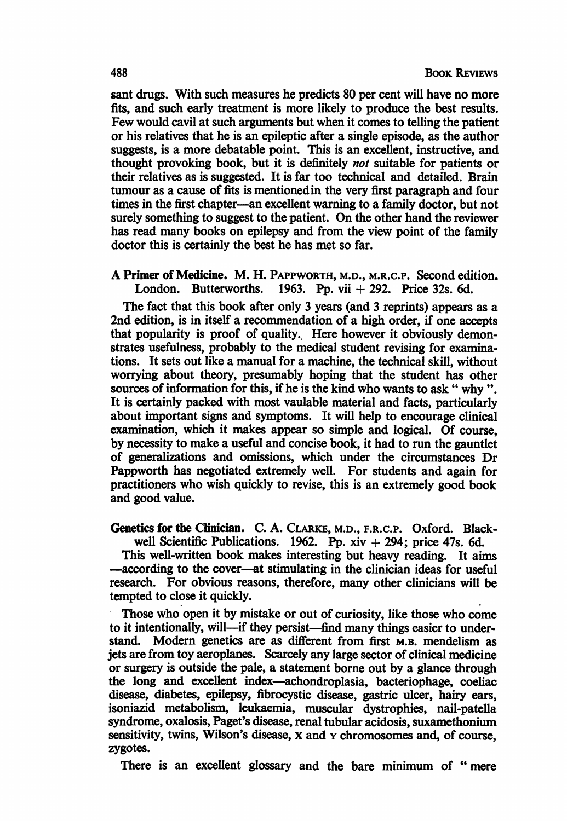sant drugs. With such measures he predicts 80 per cent will have no more fits, and such early treatment is more likely to produce the best results. Few would cavil at such arguments but when it comes to telling the patient or his relatives that he is an epileptic after a single episode, as the author suggests, is a more debatable point. This is an excellent, instructive, and thought provoking book, but it is definitely not suitable for patients or their relatives as is suggested. It is far too technical and detailed. Brain tumour as a cause of fits is mentionedin the very first paragraph and four times in the first chapter—an excellent warning to a family doctor, but not surely something to suggest to the patient. On the other hand the reviewer has read many books on epilepsy and from the view point of the family doctor this is certainly the best he has met so far.

A Primer of Medicine. M. H. PAPPWORTH, M.D., M.R.C.P. Second edition.<br>London. Butterworths. 1963. Pp. vii + 292. Price 32s. 6d. 1963. Pp. vii  $+ 292$ . Price 32s. 6d.

The fact that this book after only 3 years (and 3 reprints) appears as a 2nd edition, is in itself a recommendation of a high order, if one accepts that popularity is proof of quality.. Here however it obviously demonstrates usefulness, probably to the medical student revising for examinations. It sets out like a manual for a machine, the technical skill, without worrying about theory, presumably hoping that the student has other sources of information for this, if he is the kind who wants to ask " why ". It is certainly packed with most vaulable material and facts, particularly about important signs and symptoms. It will help to encourage clinical examination, which it makes appear so simple and logical. Of course, by necessity to make a useful and concise book, it had to run the gauntlet of generalizations and omissions, which under the circumstances Dr Pappworth has negotiated extremely well. For students and again for practitioners who wish quickly to revise, this is an extremely good book and good value.

Genetics for the Clinician. C. A. CLARKE, M.D., F.R.C.P. Oxford. Blackwell Scientific Publications. 1962. Pp.  $xiv + 294$ ; price 47s. 6d.

This well-written book makes interesting but heavy reading. It aims -according to the cover-at stimulating in the clinician ideas for useful research. For obvious reasons, therefore, many other clinicians will be tempted to close it quickly.

Those who open it by mistake or out of curiosity, like those who come to it intentionally, will—if they persist—find many things easier to understand. Modern genetics are as different from first M.B. mendelism as jets are from toy aeroplanes. Scarcely any large sector of clinical medicine or surgery is outside the pale, a statement borne out by a glance through the long and excellent index-achondroplasia, bacteriophage, coeliac disease, diabetes, epilepsy, fibrocystic disease, gastric ulcer, hairy ears, isoniazid metabolism, leukaemia, muscular dystrophies, nail-patella syndrome, oxalosis, Paget's disease, renal tubular acidosis, suxamethonium sensitivity, twins, Wilson's disease, x and y chromosomes and, of course, zygotes.

There is an excellent glossary and the bare minimum of " mere